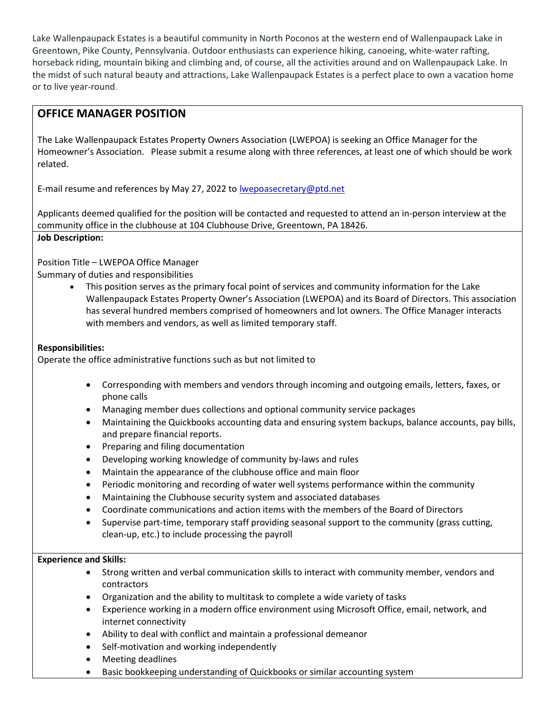Lake Wallenpaupack Estates is a beautiful community in North Poconos at the western end of Wallenpaupack Lake in Greentown, Pike County, Pennsylvania. Outdoor enthusiasts can experience hiking, canoeing, white-water rafting, horseback riding, mountain biking and climbing and, of course, all the activities around and on Wallenpaupack Lake. In the midst of such natural beauty and attractions, Lake Wallenpaupack Estates is a perfect place to own a vacation home or to live year-round.

# OFFICE MANAGER POSITION

The Lake Wallenpaupack Estates Property Owners Association (LWEPOA) is seeking an Office Manager for the Homeowner's Association. Please submit a resume along with three references, at least one of which should be work related.

E-mail resume and references by May 27, 2022 to lwepoasecretary@ptd.net

Applicants deemed qualified for the position will be contacted and requested to attend an in-person interview at the community office in the clubhouse at 104 Clubhouse Drive, Greentown, PA 18426.

### Job Description:

Position Title – LWEPOA Office Manager

Summary of duties and responsibilities

 This position serves as the primary focal point of services and community information for the Lake Wallenpaupack Estates Property Owner's Association (LWEPOA) and its Board of Directors. This association has several hundred members comprised of homeowners and lot owners. The Office Manager interacts with members and vendors, as well as limited temporary staff.

### Responsibilities:

Operate the office administrative functions such as but not limited to

- Corresponding with members and vendors through incoming and outgoing emails, letters, faxes, or phone calls
- Managing member dues collections and optional community service packages
- Maintaining the Quickbooks accounting data and ensuring system backups, balance accounts, pay bills, and prepare financial reports.
- Preparing and filing documentation
- Developing working knowledge of community by-laws and rules
- Maintain the appearance of the clubhouse office and main floor
- Periodic monitoring and recording of water well systems performance within the community
- Maintaining the Clubhouse security system and associated databases
- Coordinate communications and action items with the members of the Board of Directors
- Supervise part-time, temporary staff providing seasonal support to the community (grass cutting, clean-up, etc.) to include processing the payroll

### Experience and Skills:

- Strong written and verbal communication skills to interact with community member, vendors and contractors
- Organization and the ability to multitask to complete a wide variety of tasks
- Experience working in a modern office environment using Microsoft Office, email, network, and internet connectivity
- Ability to deal with conflict and maintain a professional demeanor
- Self-motivation and working independently
- Meeting deadlines
- Basic bookkeeping understanding of Quickbooks or similar accounting system